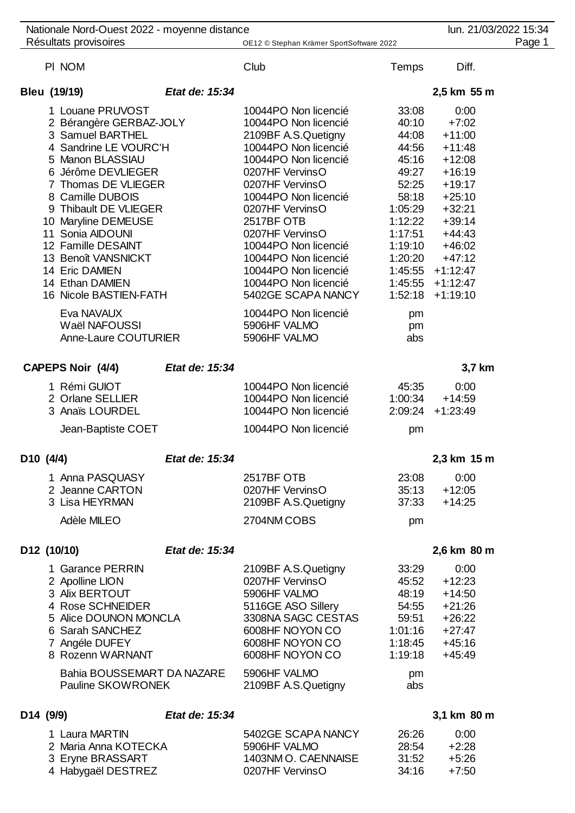|                       |  | Nationale Nord-Ouest 2022 - moyenne distance |                |                                          |          | lun. 21/03/2022 15:34 | Page 1 |  |
|-----------------------|--|----------------------------------------------|----------------|------------------------------------------|----------|-----------------------|--------|--|
| Résultats provisoires |  |                                              |                | OE12 © Stephan Krämer SportSoftware 2022 |          |                       |        |  |
|                       |  | PI NOM                                       |                | Club                                     | Temps    | Diff.                 |        |  |
|                       |  | Bleu (19/19)                                 | Etat de: 15:34 |                                          |          | 2,5 km 55 m           |        |  |
|                       |  | 1 Louane PRUVOST                             |                | 10044PO Non licencié                     | 33:08    | 0:00                  |        |  |
|                       |  | 2 Bérangère GERBAZ-JOLY                      |                | 10044PO Non licencié                     | 40:10    | $+7:02$               |        |  |
|                       |  | 3 Samuel BARTHEL                             |                | 2109BF A.S.Quetigny                      | 44:08    | $+11:00$              |        |  |
|                       |  | 4 Sandrine LE VOURC'H                        |                | 10044PO Non licencié                     | 44:56    | $+11:48$              |        |  |
|                       |  | 5 Manon BLASSIAU                             |                | 10044PO Non licencié                     | 45:16    | $+12:08$              |        |  |
|                       |  | 6 Jérôme DEVLIEGER                           |                | 0207HF VervinsO                          | 49:27    | $+16:19$              |        |  |
|                       |  | 7 Thomas DE VLIEGER                          |                | 0207HF VervinsO                          | 52:25    | $+19:17$              |        |  |
|                       |  | 8 Camille DUBOIS                             |                | 10044PO Non licencié                     | 58:18    | $+25:10$              |        |  |
|                       |  | 9 Thibault DE VLIEGER                        |                | 0207HF VervinsO                          | 1:05:29  | $+32:21$              |        |  |
|                       |  | 10 Maryline DEMEUSE                          |                | 2517BF OTB                               | 1:12:22  | $+39:14$              |        |  |
|                       |  | 11 Sonia AIDOUNI                             |                | 0207HF VervinsO                          | 1:17:51  | $+44:43$              |        |  |
|                       |  | 12 Famille DESAINT                           |                | 10044PO Non licencié                     | 1:19:10  | $+46:02$              |        |  |
|                       |  | 13 Benoît VANSNICKT                          |                | 10044PO Non licencié                     | 1:20:20  | $+47:12$              |        |  |
|                       |  | 14 Eric DAMIEN                               |                | 10044PO Non licencié                     |          | $1:45:55$ +1:12:47    |        |  |
|                       |  | 14 Ethan DAMIEN                              |                | 10044PO Non licencié                     |          | $1:45:55 + 1:12:47$   |        |  |
|                       |  | 16 Nicole BASTIEN-FATH                       |                | 5402GE SCAPA NANCY                       | 1:52:18  | $+1:19:10$            |        |  |
|                       |  | Eva NAVAUX                                   |                | 10044PO Non licencié                     |          |                       |        |  |
|                       |  | Waël NAFOUSSI                                |                | 5906HF VALMO                             | pm<br>pm |                       |        |  |
|                       |  | Anne-Laure COUTURIER                         |                | 5906HF VALMO                             | abs      |                       |        |  |
|                       |  |                                              |                |                                          |          |                       |        |  |
|                       |  | <b>CAPEPS Noir (4/4)</b>                     | Etat de: 15:34 |                                          |          | 3,7 km                |        |  |
|                       |  | 1 Rémi GUIOT                                 |                | 10044PO Non licencié                     | 45:35    | 0:00                  |        |  |
|                       |  | 2 Orlane SELLIER                             |                | 10044PO Non licencié                     | 1:00:34  | $+14:59$              |        |  |
|                       |  | 3 Anaïs LOURDEL                              |                | 10044PO Non licencié                     |          | $2:09:24$ +1:23:49    |        |  |
|                       |  |                                              |                |                                          |          |                       |        |  |
|                       |  | Jean-Baptiste COET                           |                | 10044PO Non licencié                     | pm       |                       |        |  |
| D10 (4/4)             |  |                                              | Etat de: 15:34 |                                          |          | 2,3 km 15 m           |        |  |
|                       |  | 1 Anna PASQUASY                              |                | 2517BF OTB                               | 23:08    | 0:00                  |        |  |
|                       |  | 2 Jeanne CARTON                              |                | 0207HF VervinsO                          | 35:13    | $+12:05$              |        |  |
|                       |  | 3 Lisa HEYRMAN                               |                | 2109BF A.S.Quetigny                      | 37:33    | $+14:25$              |        |  |
|                       |  | Adèle MILEO                                  |                | 2704NM COBS                              | pm       |                       |        |  |
|                       |  |                                              |                |                                          |          |                       |        |  |
|                       |  | D12 (10/10)                                  | Etat de: 15:34 |                                          |          | 2,6 km 80 m           |        |  |
|                       |  | 1 Garance PERRIN                             |                | 2109BF A.S.Quetigny                      | 33:29    | 0:00                  |        |  |
|                       |  | 2 Apolline LION                              |                | 0207HF VervinsO                          | 45:52    | $+12:23$              |        |  |
|                       |  | 3 Alix BERTOUT                               |                | 5906HF VALMO                             | 48:19    | $+14:50$              |        |  |
|                       |  | 4 Rose SCHNEIDER                             |                | 5116GE ASO Sillery                       | 54:55    | $+21:26$              |        |  |
|                       |  | 5 Alice DOUNON MONCLA                        |                | 3308NA SAGC CESTAS                       | 59:51    | $+26:22$              |        |  |
|                       |  | 6 Sarah SANCHEZ                              |                | 6008HF NOYON CO                          | 1:01:16  | $+27:47$              |        |  |
|                       |  | 7 Angéle DUFEY                               |                | 6008HF NOYON CO                          | 1:18:45  | $+45:16$              |        |  |
|                       |  | 8 Rozenn WARNANT                             |                | 6008HF NOYON CO                          | 1:19:18  | $+45:49$              |        |  |
|                       |  | Bahia BOUSSEMART DA NAZARE                   |                | 5906HF VALMO                             | pm       |                       |        |  |
|                       |  | Pauline SKOWRONEK                            |                | 2109BF A.S.Quetigny                      | abs      |                       |        |  |
| D14 (9/9)             |  |                                              | Etat de: 15:34 |                                          |          | 3,1 km 80 m           |        |  |
|                       |  | 1 Laura MARTIN                               |                | 5402GE SCAPA NANCY                       | 26:26    | 0:00                  |        |  |
|                       |  | 2 Maria Anna KOTECKA                         |                | 5906HF VALMO                             | 28:54    | $+2:28$               |        |  |
|                       |  | 3 Eryne BRASSART                             |                | 1403NM O. CAENNAISE                      | 31:52    | $+5:26$               |        |  |
|                       |  |                                              |                |                                          |          |                       |        |  |

Habygaël DESTREZ 0207HF VervinsO 34:16 +7:50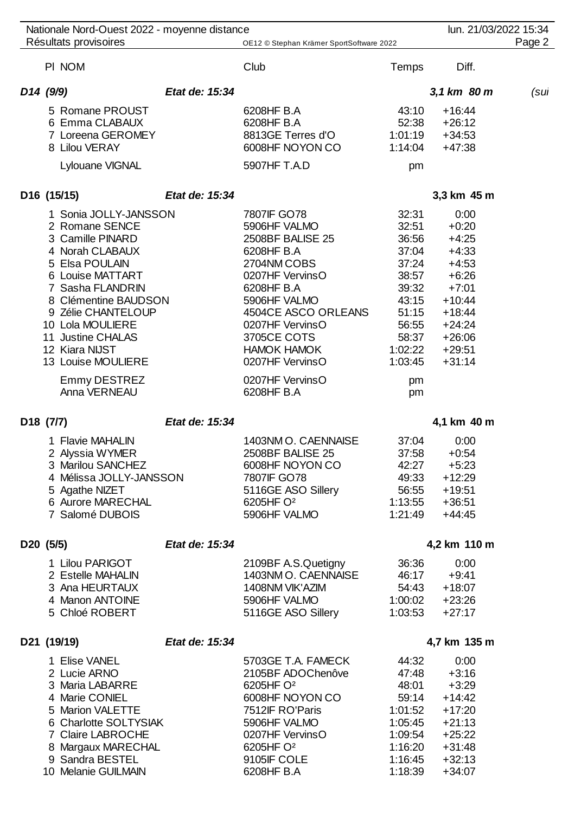| Nationale Nord-Ouest 2022 - moyenne distance<br>Résultats provisoires                                                                                                                                                                                                                          |                | OE12 © Stephan Krämer SportSoftware 2022                                                                                                                                                                                                           |                                                                                                                       | lun. 21/03/2022 15:34                                                                                                                          | Page 2 |
|------------------------------------------------------------------------------------------------------------------------------------------------------------------------------------------------------------------------------------------------------------------------------------------------|----------------|----------------------------------------------------------------------------------------------------------------------------------------------------------------------------------------------------------------------------------------------------|-----------------------------------------------------------------------------------------------------------------------|------------------------------------------------------------------------------------------------------------------------------------------------|--------|
| PI NOM                                                                                                                                                                                                                                                                                         |                | Club                                                                                                                                                                                                                                               | <b>Temps</b>                                                                                                          | Diff.                                                                                                                                          |        |
| D <sub>14</sub> (9/9)                                                                                                                                                                                                                                                                          | Etat de: 15:34 |                                                                                                                                                                                                                                                    |                                                                                                                       | 3,1 km 80 m                                                                                                                                    | (sul   |
| 5 Romane PROUST<br>6 Emma CLABAUX<br>7 Loreena GEROMEY<br>8 Lilou VERAY<br>Lylouane VIGNAL                                                                                                                                                                                                     |                | 6208HF B.A<br>6208HF B.A<br>8813GE Terres d'O<br>6008HF NOYON CO<br>5907HF T.A.D                                                                                                                                                                   | 43:10<br>52:38<br>1:01:19<br>1:14:04<br>pm                                                                            | $+16:44$<br>$+26:12$<br>$+34:53$<br>$+47:38$                                                                                                   |        |
| D16 (15/15)                                                                                                                                                                                                                                                                                    | Etat de: 15:34 |                                                                                                                                                                                                                                                    |                                                                                                                       | 3,3 km 45 m                                                                                                                                    |        |
| 1 Sonia JOLLY-JANSSON<br>2 Romane SENCE<br>3 Camille PINARD<br>4 Norah CLABAUX<br>5 Elsa POULAIN<br>6 Louise MATTART<br>7 Sasha FLANDRIN<br>8 Clémentine BAUDSON<br>9 Zélie CHANTELOUP<br>10 Lola MOULIERE<br>11 Justine CHALAS<br>12 Kiara NIJST<br>13 Louise MOULIERE<br><b>Emmy DESTREZ</b> |                | 7807IF GO78<br>5906HF VALMO<br>2508BF BALISE 25<br>6208HF B.A<br>2704NM COBS<br>0207HF VervinsO<br>6208HF B.A<br>5906HF VALMO<br>4504CE ASCO ORLEANS<br>0207HF VervinsO<br>3705CE COTS<br><b>HAMOK HAMOK</b><br>0207HF VervinsO<br>0207HF VervinsO | 32:31<br>32:51<br>36:56<br>37:04<br>37:24<br>38:57<br>39:32<br>43:15<br>51:15<br>56:55<br>58:37<br>1:02:22<br>1:03:45 | 0:00<br>$+0:20$<br>$+4:25$<br>$+4:33$<br>$+4:53$<br>$+6:26$<br>$+7:01$<br>$+10:44$<br>$+18:44$<br>$+24:24$<br>$+26:06$<br>$+29:51$<br>$+31:14$ |        |
| Anna VERNEAU                                                                                                                                                                                                                                                                                   |                | 6208HF B.A                                                                                                                                                                                                                                         | pm<br>pm                                                                                                              |                                                                                                                                                |        |
| D <sub>18</sub> (7/7)                                                                                                                                                                                                                                                                          | Etat de: 15:34 |                                                                                                                                                                                                                                                    |                                                                                                                       | 4,1 km 40 m                                                                                                                                    |        |
| 1 Flavie MAHALIN<br>2 Alyssia WYMER<br>3 Marilou SANCHEZ<br>4 Mélissa JOLLY-JANSSON<br>5 Agathe NIZET<br>6 Aurore MARECHAL<br>7 Salomé DUBOIS                                                                                                                                                  |                | 1403NM O. CAENNAISE<br>2508BF BALISE 25<br>6008HF NOYON CO<br>7807IF GO78<br>5116GE ASO Sillery<br>6205HF O <sup>2</sup><br>5906HF VALMO                                                                                                           | 37:04<br>37:58<br>42:27<br>49:33<br>56:55<br>1:13:55<br>1:21:49                                                       | 0:00<br>$+0:54$<br>$+5:23$<br>$+12:29$<br>$+19:51$<br>$+36:51$<br>$+44:45$                                                                     |        |
| D <sub>20</sub> (5/5)                                                                                                                                                                                                                                                                          | Etat de: 15:34 |                                                                                                                                                                                                                                                    |                                                                                                                       | 4,2 km 110 m                                                                                                                                   |        |
| 1 Lilou PARIGOT<br>2 Estelle MAHALIN<br>3 Ana HEURTAUX<br>4 Manon ANTOINE<br>5 Chloé ROBERT                                                                                                                                                                                                    |                | 2109BF A.S.Quetigny<br>1403NM O. CAENNAISE<br>1408NM VIK'AZIM<br>5906HF VALMO<br>5116GE ASO Sillery                                                                                                                                                | 36:36<br>46:17<br>54:43<br>1:00:02<br>1:03:53                                                                         | 0:00<br>$+9:41$<br>$+18:07$<br>$+23:26$<br>$+27:17$                                                                                            |        |
| D21 (19/19)                                                                                                                                                                                                                                                                                    | Etat de: 15:34 |                                                                                                                                                                                                                                                    |                                                                                                                       | 4,7 km 135 m                                                                                                                                   |        |
| 1 Elise VANEL<br>2 Lucie ARNO<br>3 Maria LABARRE<br>4 Marie CONIEL<br>5 Marion VALETTE<br>6 Charlotte SOLTYSIAK<br>7 Claire LABROCHE                                                                                                                                                           |                | 5703GE T.A. FAMECK<br>2105BF ADOChenôve<br>6205HF O <sup>2</sup><br>6008HF NOYON CO<br>7512IF RO'Paris<br>5906HF VALMO<br>0207HF VervinsO                                                                                                          | 44:32<br>47:48<br>48:01<br>59:14<br>1:01:52<br>1:05:45<br>1:09:54                                                     | 0:00<br>$+3:16$<br>$+3:29$<br>$+14:42$<br>$+17:20$<br>$+21:13$<br>$+25:22$                                                                     |        |

Claire LABROCHE 0207HF VervinsO 1:09:54 +25:22

8 Margaux MARECHAL 6205HF O<sup>2</sup> 1:16:20 +31:48<br>9 Sandra BESTEL 9105IF COLE 1:16:45 +32:13 Sandra BESTEL 9105IF COLE 1:16:45 +32:13

10 Melanie GUILMAIN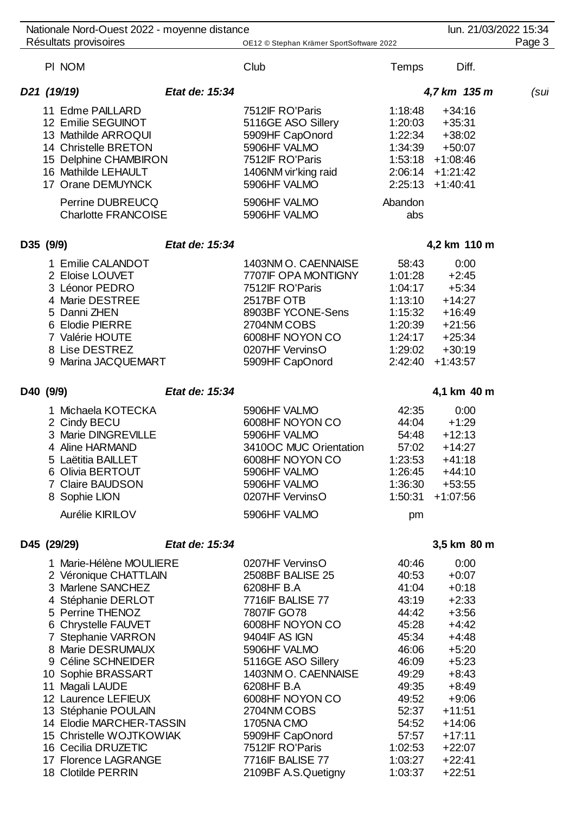| PI NOM                                                                                                                                                                                                                                                                                                                                                                                                                       |                | Club                                                                                                                                                                                                                                                                                                                                 | <b>Temps</b>                                                                                                                                                         | Diff.                                                                                                                                                                                                 |      |
|------------------------------------------------------------------------------------------------------------------------------------------------------------------------------------------------------------------------------------------------------------------------------------------------------------------------------------------------------------------------------------------------------------------------------|----------------|--------------------------------------------------------------------------------------------------------------------------------------------------------------------------------------------------------------------------------------------------------------------------------------------------------------------------------------|----------------------------------------------------------------------------------------------------------------------------------------------------------------------|-------------------------------------------------------------------------------------------------------------------------------------------------------------------------------------------------------|------|
| D21 (19/19)                                                                                                                                                                                                                                                                                                                                                                                                                  | Etat de: 15:34 |                                                                                                                                                                                                                                                                                                                                      |                                                                                                                                                                      | 4,7 km 135 m                                                                                                                                                                                          | (sul |
| 11 Edme PAILLARD<br>12 Emilie SEGUINOT<br>13 Mathilde ARROQUI<br>14 Christelle BRETON<br>15 Delphine CHAMBIRON<br>16 Mathilde LEHAULT<br>17 Orane DEMUYNCK<br>Perrine DUBREUCQ<br><b>Charlotte FRANCOISE</b>                                                                                                                                                                                                                 |                | 7512IF RO'Paris<br>5116GE ASO Sillery<br>5909HF CapOnord<br>5906HF VALMO<br>7512IF RO'Paris<br>1406NM vir'king raid<br>5906HF VALMO<br>5906HF VALMO<br>5906HF VALMO                                                                                                                                                                  | 1:18:48<br>1:20:03<br>1:22:34<br>1:34:39<br>Abandon<br>abs                                                                                                           | $+34:16$<br>$+35:31$<br>$+38:02$<br>$+50:07$<br>$1:53:18$ +1:08:46<br>$2:06:14$ +1:21:42<br>$2:25:13 +1:40:41$                                                                                        |      |
| D35 (9/9)                                                                                                                                                                                                                                                                                                                                                                                                                    | Etat de: 15:34 |                                                                                                                                                                                                                                                                                                                                      |                                                                                                                                                                      | 4,2 km 110 m                                                                                                                                                                                          |      |
| 1 Emilie CALANDOT<br>2 Eloise LOUVET<br>3 Léonor PEDRO<br>4 Marie DESTREE<br>5 Danni ZHEN<br>6 Elodie PIERRE<br>7 Valérie HOUTE<br>8 Lise DESTREZ<br>9 Marina JACQUEMART                                                                                                                                                                                                                                                     |                | 1403NM O. CAENNAISE<br>7707IF OPA MONTIGNY<br>7512IF RO'Paris<br>2517BF OTB<br>8903BF YCONE-Sens<br>2704NM COBS<br>6008HF NOYON CO<br>0207HF VervinsO<br>5909HF CapOnord                                                                                                                                                             | 58:43<br>1:01:28<br>1:04:17<br>1:13:10<br>1:15:32<br>1:20:39<br>1:24:17<br>1:29:02<br>2:42:40                                                                        | 0:00<br>$+2:45$<br>$+5:34$<br>$+14:27$<br>$+16:49$<br>$+21:56$<br>$+25:34$<br>$+30:19$<br>$+1:43:57$                                                                                                  |      |
| D40 (9/9)                                                                                                                                                                                                                                                                                                                                                                                                                    | Etat de: 15:34 |                                                                                                                                                                                                                                                                                                                                      |                                                                                                                                                                      | 4,1 km 40 m                                                                                                                                                                                           |      |
| 1 Michaela KOTECKA<br>2 Cindy BECU<br>3 Marie DINGREVILLE<br>4 Aline HARMAND<br>5 Laëtitia BAILLET<br>6 Olivia BERTOUT<br>7 Claire BAUDSON<br>8 Sophie LION<br>Aurélie KIRILOV                                                                                                                                                                                                                                               |                | 5906HF VALMO<br>6008HF NOYON CO<br>5906HF VALMO<br>3410OC MUC Orientation<br>6008HF NOYON CO<br>5906HF VALMO<br>5906HF VALMO<br>0207HF VervinsO<br>5906HF VALMO                                                                                                                                                                      | 42:35<br>44:04<br>54:48<br>57:02<br>1:23:53<br>1:26:45<br>1:36:30<br>pm                                                                                              | 0:00<br>$+1:29$<br>$+12:13$<br>$+14:27$<br>$+41:18$<br>$+44:10$<br>$+53:55$<br>$1:50:31 + 1:07:56$                                                                                                    |      |
| D45 (29/29)                                                                                                                                                                                                                                                                                                                                                                                                                  | Etat de: 15:34 |                                                                                                                                                                                                                                                                                                                                      |                                                                                                                                                                      | 3,5 km 80 m                                                                                                                                                                                           |      |
| 1 Marie-Hélène MOULIERE<br>2 Véronique CHATTLAIN<br>3 Marlene SANCHEZ<br>4 Stéphanie DERLOT<br>5 Perrine THENOZ<br>6 Chrystelle FAUVET<br>7 Stephanie VARRON<br>8 Marie DESRUMAUX<br>9 Céline SCHNEIDER<br>10 Sophie BRASSART<br>11 Magali LAUDE<br>12 Laurence LEFIEUX<br>13 Stéphanie POULAIN<br>14 Elodie MARCHER-TASSIN<br>15 Christelle WOJTKOWIAK<br>16 Cecilia DRUZETIC<br>17 Florence LAGRANGE<br>18 Clotilde PERRIN |                | 0207HF VervinsO<br>2508BF BALISE 25<br>6208HF B.A<br>7716IF BALISE 77<br>7807IF GO78<br>6008HF NOYON CO<br>9404IF AS IGN<br>5906HF VALMO<br>5116GE ASO Sillery<br>1403NM O. CAENNAISE<br>6208HF B.A<br>6008HF NOYON CO<br>2704NM COBS<br>1705NA CMO<br>5909HF CapOnord<br>7512IF RO'Paris<br>7716IF BALISE 77<br>2109BF A.S.Quetigny | 40:46<br>40:53<br>41:04<br>43:19<br>44:42<br>45:28<br>45:34<br>46:06<br>46:09<br>49:29<br>49:35<br>49:52<br>52:37<br>54:52<br>57:57<br>1:02:53<br>1:03:27<br>1:03:37 | 0:00<br>$+0:07$<br>$+0:18$<br>$+2:33$<br>$+3:56$<br>$+4:42$<br>$+4:48$<br>$+5:20$<br>$+5:23$<br>$+8:43$<br>$+8:49$<br>$+9:06$<br>$+11:51$<br>$+14:06$<br>$+17:11$<br>$+22:07$<br>$+22:41$<br>$+22:51$ |      |

Nationale Nord-Ouest 2022 - moyenne distance luncarrelation and the luncarrelational extendio luncarrelation of Résultats provisoires and the CEN of the CH2 © Stephan Krämer SportSoftware 2022 The CH3 of the CH3 Page 3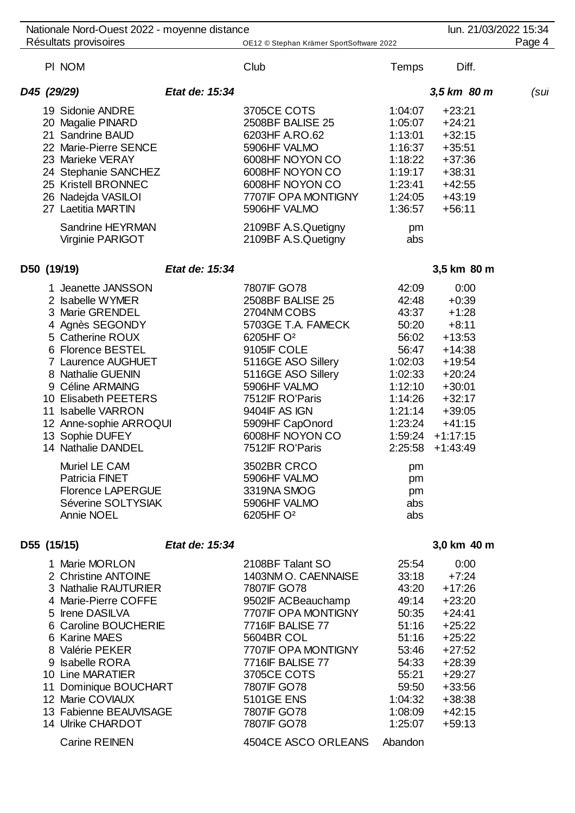| Nationale Nord-Ouest 2022 - moyenne distance                                                                                                                                                                                                                                                                                                                                                                           |                                                                                                                                                                                                                                                                                                                                                              |                                                                                                                                                                            | lun. 21/03/2022 15:34                                                                                                                                             |        |
|------------------------------------------------------------------------------------------------------------------------------------------------------------------------------------------------------------------------------------------------------------------------------------------------------------------------------------------------------------------------------------------------------------------------|--------------------------------------------------------------------------------------------------------------------------------------------------------------------------------------------------------------------------------------------------------------------------------------------------------------------------------------------------------------|----------------------------------------------------------------------------------------------------------------------------------------------------------------------------|-------------------------------------------------------------------------------------------------------------------------------------------------------------------|--------|
| Résultats provisoires                                                                                                                                                                                                                                                                                                                                                                                                  | OE12 © Stephan Krämer SportSoftware 2022                                                                                                                                                                                                                                                                                                                     |                                                                                                                                                                            |                                                                                                                                                                   | Page 4 |
| PI NOM                                                                                                                                                                                                                                                                                                                                                                                                                 | Club                                                                                                                                                                                                                                                                                                                                                         | Temps                                                                                                                                                                      | Diff.                                                                                                                                                             |        |
| Etat de: 15:34<br>D45 (29/29)                                                                                                                                                                                                                                                                                                                                                                                          |                                                                                                                                                                                                                                                                                                                                                              |                                                                                                                                                                            | 3,5 km 80 m                                                                                                                                                       | (sul   |
| 19 Sidonie ANDRE<br>20 Magalie PINARD<br>21 Sandrine BAUD<br>22 Marie-Pierre SENCE<br>23 Marieke VERAY<br>24 Stephanie SANCHEZ<br>25 Kristell BRONNEC<br>26 Nadejda VASILOI<br>27 Laetitia MARTIN<br>Sandrine HEYRMAN<br>Virginie PARIGOT                                                                                                                                                                              | 3705CE COTS<br>2508BF BALISE 25<br>6203HF A.RO.62<br>5906HF VALMO<br>6008HF NOYON CO<br>6008HF NOYON CO<br>6008HF NOYON CO<br>7707IF OPA MONTIGNY<br>5906HF VALMO<br>2109BF A.S.Quetigny<br>2109BF A.S.Quetigny                                                                                                                                              | 1:04:07<br>1:05:07<br>1:13:01<br>1:16:37<br>1:18:22<br>1:19:17<br>1:23:41<br>1:24:05<br>1:36:57<br>pm<br>abs                                                               | $+23:21$<br>$+24:21$<br>$+32:15$<br>$+35:51$<br>$+37:36$<br>$+38:31$<br>$+42:55$<br>$+43:19$<br>$+56:11$                                                          |        |
| D50 (19/19)<br>Etat de: 15:34                                                                                                                                                                                                                                                                                                                                                                                          |                                                                                                                                                                                                                                                                                                                                                              |                                                                                                                                                                            | 3,5 km 80 m                                                                                                                                                       |        |
| 1 Jeanette JANSSON<br>2 Isabelle WYMER<br>3 Marie GRENDEL<br>4 Agnès SEGONDY<br>5 Catherine ROUX<br>6 Florence BESTEL<br><b>7 Laurence AUGHUET</b><br>8 Nathalie GUENIN<br>9 Céline ARMAING<br>10 Elisabeth PEETERS<br>11 Isabelle VARRON<br>12 Anne-sophie ARROQUI<br>13 Sophie DUFEY<br>14 Nathalie DANDEL<br>Muriel LE CAM<br>Patricia FINET<br><b>Florence LAPERGUE</b><br>Séverine SOLTYSIAK<br><b>Annie NOEL</b> | 7807IF GO78<br>2508BF BALISE 25<br>2704NM COBS<br>5703GE T.A. FAMECK<br>6205HF O <sup>2</sup><br>9105IF COLE<br>5116GE ASO Sillery<br>5116GE ASO Sillery<br>5906HF VALMO<br>7512IF RO'Paris<br>9404IF AS IGN<br>5909HF CapOnord<br>6008HF NOYON CO<br>7512IF RO'Paris<br>3502BR CRCO<br>5906HF VALMO<br>3319NA SMOG<br>5906HF VALMO<br>6205HF O <sup>2</sup> | 42:09<br>42:48<br>43:37<br>50:20<br>56:02<br>56:47<br>1:02:03<br>1:02:33<br>1:12:10<br>1:14:26<br>1:21:14<br>1:23:24<br>1:59:24<br>2:25:58<br>pm<br>pm<br>pm<br>abs<br>abs | 0:00<br>$+0:39$<br>$+1:28$<br>$+8:11$<br>$+13:53$<br>$+14:38$<br>$+19:54$<br>$+20:24$<br>$+30:01$<br>$+32:17$<br>$+39:05$<br>$+41:15$<br>$+1:17:15$<br>$+1:43:49$ |        |
| Etat de: 15:34<br>D55 (15/15)                                                                                                                                                                                                                                                                                                                                                                                          |                                                                                                                                                                                                                                                                                                                                                              |                                                                                                                                                                            | 3,0 km 40 m                                                                                                                                                       |        |
| 1 Marie MORLON<br>2 Christine ANTOINE<br>3 Nathalie RAUTURIER<br>4 Marie-Pierre COFFE<br>5 Irene DASILVA<br>6 Caroline BOUCHERIE<br>6 Karine MAES<br>8 Valérie PEKER<br>9 Isabelle RORA<br>10 Line MARATIER<br>11 Dominique BOUCHART<br>12 Marie COVIAUX<br>13 Fabienne BEAUVISAGE<br>14 Ulrike CHARDOT<br><b>Carine REINEN</b>                                                                                        | 2108BF Talant SO<br>1403NM O. CAENNAISE<br>7807IF GO78<br>9502IF ACBeauchamp<br>7707IF OPA MONTIGNY<br><b>7716IF BALISE 77</b><br>5604BR COL<br>7707IF OPA MONTIGNY<br><b>7716IF BALISE 77</b><br>3705CE COTS<br>7807IF GO78<br><b>5101GE ENS</b><br>7807IF GO78<br>7807IF GO78<br>4504CE ASCO ORLEANS                                                       | 25:54<br>33:18<br>43:20<br>49:14<br>50:35<br>51:16<br>51:16<br>53:46<br>54:33<br>55:21<br>59:50<br>1:04:32<br>1:08:09<br>1:25:07<br>Abandon                                | 0:00<br>$+7:24$<br>$+17:26$<br>$+23:20$<br>$+24:41$<br>$+25:22$<br>$+25:22$<br>$+27:52$<br>$+28:39$<br>$+29:27$<br>$+33:56$<br>$+38:38$<br>$+42:15$<br>$+59:13$   |        |
|                                                                                                                                                                                                                                                                                                                                                                                                                        |                                                                                                                                                                                                                                                                                                                                                              |                                                                                                                                                                            |                                                                                                                                                                   |        |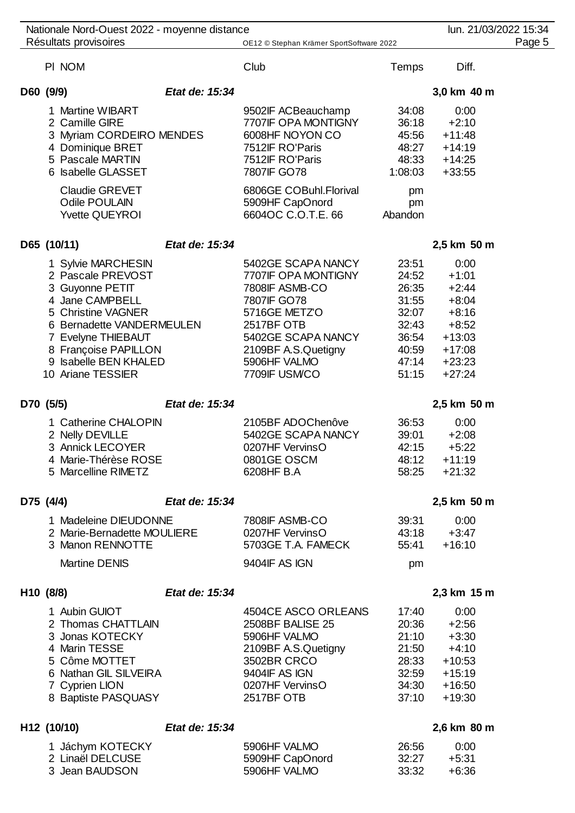| Nationale Nord-Ouest 2022 - moyenne distance                                                                                                                                                                                 |                |                                                                                                                                                                                        |                                                                                        | lun. 21/03/2022 15:34                                                                                       |  |
|------------------------------------------------------------------------------------------------------------------------------------------------------------------------------------------------------------------------------|----------------|----------------------------------------------------------------------------------------------------------------------------------------------------------------------------------------|----------------------------------------------------------------------------------------|-------------------------------------------------------------------------------------------------------------|--|
| Résultats provisoires                                                                                                                                                                                                        |                | OE12 © Stephan Krämer SportSoftware 2022                                                                                                                                               |                                                                                        | Page 5                                                                                                      |  |
| PI NOM                                                                                                                                                                                                                       |                | Club                                                                                                                                                                                   | Temps                                                                                  | Diff.                                                                                                       |  |
| D60 (9/9)                                                                                                                                                                                                                    | Etat de: 15:34 |                                                                                                                                                                                        |                                                                                        | 3,0 km 40 m                                                                                                 |  |
| 1 Martine WIBART<br>2 Camille GIRE<br>3 Myriam CORDEIRO MENDES<br>4 Dominique BRET<br>5 Pascale MARTIN<br>6 Isabelle GLASSET<br><b>Claudie GREVET</b><br>Odile POULAIN<br><b>Yvette QUEYROI</b>                              |                | 9502IF ACBeauchamp<br>7707IF OPA MONTIGNY<br>6008HF NOYON CO<br>7512IF RO'Paris<br>7512IF RO'Paris<br>7807IF GO78<br>6806GE COBuhl.Florival<br>5909HF CapOnord<br>6604OC C.O.T.E. 66   | 34:08<br>36:18<br>45:56<br>48:27<br>48:33<br>1:08:03<br>pm<br>pm<br>Abandon            | 0:00<br>$+2:10$<br>$+11:48$<br>$+14:19$<br>$+14:25$<br>$+33:55$                                             |  |
| D65 (10/11)                                                                                                                                                                                                                  | Etat de: 15:34 |                                                                                                                                                                                        |                                                                                        | 2,5 km 50 m                                                                                                 |  |
| 1 Sylvie MARCHESIN<br>2 Pascale PREVOST<br>3 Guyonne PETIT<br>4 Jane CAMPBELL<br>5 Christine VAGNER<br>6 Bernadette VANDERMEULEN<br>7 Evelyne THIEBAUT<br>8 Françoise PAPILLON<br>9 Isabelle BEN KHALED<br>10 Ariane TESSIER |                | 5402GE SCAPA NANCY<br>7707IF OPA MONTIGNY<br>7808IF ASMB-CO<br>7807IF GO78<br>5716GE METZO<br>2517BF OTB<br>5402GE SCAPA NANCY<br>2109BF A.S.Quetigny<br>5906HF VALMO<br>7709IF USM/CO | 23:51<br>24:52<br>26:35<br>31:55<br>32:07<br>32:43<br>36:54<br>40:59<br>47:14<br>51:15 | 0:00<br>$+1:01$<br>$+2:44$<br>$+8:04$<br>$+8:16$<br>$+8:52$<br>$+13:03$<br>$+17:08$<br>$+23:23$<br>$+27:24$ |  |
| D70 (5/5)                                                                                                                                                                                                                    | Etat de: 15:34 |                                                                                                                                                                                        |                                                                                        | 2,5 km 50 m                                                                                                 |  |
| 1 Catherine CHALOPIN<br>2 Nelly DEVILLE<br>3 Annick LECOYER<br>4 Marie-Thérèse ROSE<br>5 Marcelline RIMETZ                                                                                                                   |                | 2105BF ADOChenôve<br>5402GE SCAPA NANCY<br>0207HF VervinsO<br>0801GE OSCM<br>6208HF B.A                                                                                                | 36:53<br>39:01<br>42:15<br>48:12<br>58:25                                              | 0:00<br>$+2:08$<br>$+5:22$<br>$+11:19$<br>$+21:32$                                                          |  |
| D75 (4/4)                                                                                                                                                                                                                    | Etat de: 15:34 |                                                                                                                                                                                        |                                                                                        | 2,5 km 50 m                                                                                                 |  |
| 1 Madeleine DIEUDONNE<br>2 Marie-Bernadette MOULIERE<br>3 Manon RENNOTTE<br><b>Martine DENIS</b>                                                                                                                             |                | 7808IF ASMB-CO<br>0207HF VervinsO<br>5703GE T.A. FAMECK<br>9404IF AS IGN                                                                                                               | 39:31<br>55:41<br>pm                                                                   | 0:00<br>$43:18 +3:47$<br>$+16:10$                                                                           |  |
| H10 (8/8)                                                                                                                                                                                                                    | Etat de: 15:34 |                                                                                                                                                                                        |                                                                                        | 2,3 km 15 m                                                                                                 |  |
| 1 Aubin GUIOT<br>2 Thomas CHATTLAIN<br>3 Jonas KOTECKY<br>4 Marin TESSE<br>5 Côme MOTTET<br>6 Nathan GIL SILVEIRA<br>7 Cyprien LION<br>8 Baptiste PASQUASY                                                                   |                | 4504CE ASCO ORLEANS<br>2508BF BALISE 25<br>5906HF VALMO<br>2109BF A.S.Quetigny<br>3502BR CRCO<br>9404IF AS IGN<br>0207HF VervinsO<br>2517BF OTB                                        | 17:40<br>20:36<br>21:10<br>21:50<br>28:33<br>32:59<br>34:30<br>37:10                   | 0:00<br>$+2:56$<br>$+3:30$<br>$+4:10$<br>$+10:53$<br>$+15:19$<br>$+16:50$<br>$+19:30$                       |  |
| H12 (10/10)                                                                                                                                                                                                                  | Etat de: 15:34 |                                                                                                                                                                                        |                                                                                        | 2,6 km 80 m                                                                                                 |  |
| 1 Jáchym KOTECKY<br>2 Linaël DELCUSE<br>3 Jean BAUDSON                                                                                                                                                                       |                | 5906HF VALMO<br>5909HF CapOnord<br>5906HF VALMO                                                                                                                                        | 26:56<br>32:27<br>33:32                                                                | 0:00<br>$+5:31$<br>$+6:36$                                                                                  |  |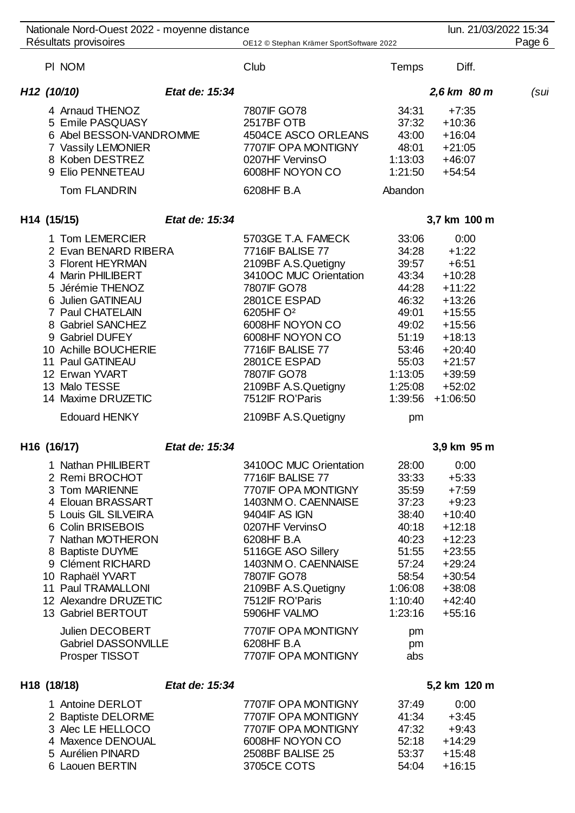| Nationale Nord-Ouest 2022 - moyenne distance<br>Résultats provisoires                                                                                                                                                                                                                                               |                | OE12 © Stephan Krämer SportSoftware 2022                                                                                                                                                                                                                                                                  |                                                                                                                                        | lun. 21/03/2022 15:34                                                                                                                                            | Page 6 |
|---------------------------------------------------------------------------------------------------------------------------------------------------------------------------------------------------------------------------------------------------------------------------------------------------------------------|----------------|-----------------------------------------------------------------------------------------------------------------------------------------------------------------------------------------------------------------------------------------------------------------------------------------------------------|----------------------------------------------------------------------------------------------------------------------------------------|------------------------------------------------------------------------------------------------------------------------------------------------------------------|--------|
| PI NOM                                                                                                                                                                                                                                                                                                              |                | Club                                                                                                                                                                                                                                                                                                      | <b>Temps</b>                                                                                                                           | Diff.                                                                                                                                                            |        |
| H <sub>12</sub> (10/10)                                                                                                                                                                                                                                                                                             | Etat de: 15:34 |                                                                                                                                                                                                                                                                                                           |                                                                                                                                        | 2,6 km 80 m                                                                                                                                                      | (sul   |
| 4 Arnaud THENOZ<br>5 Emile PASQUASY<br>6 Abel BESSON-VANDROMME<br>7 Vassily LEMONIER<br>8 Koben DESTREZ<br>9 Elio PENNETEAU<br>Tom FLANDRIN                                                                                                                                                                         |                | 7807IF GO78<br>2517BF OTB<br>4504CE ASCO ORLEANS<br>7707IF OPA MONTIGNY<br>0207HF VervinsO<br>6008HF NOYON CO<br>6208HF B.A                                                                                                                                                                               | 34:31<br>37:32<br>43:00<br>48:01<br>1:13:03<br>1:21:50<br>Abandon                                                                      | $+7:35$<br>$+10:36$<br>$+16:04$<br>$+21:05$<br>$+46:07$<br>$+54:54$                                                                                              |        |
|                                                                                                                                                                                                                                                                                                                     |                |                                                                                                                                                                                                                                                                                                           |                                                                                                                                        |                                                                                                                                                                  |        |
| H14 (15/15)                                                                                                                                                                                                                                                                                                         | Etat de: 15:34 |                                                                                                                                                                                                                                                                                                           |                                                                                                                                        | 3,7 km 100 m                                                                                                                                                     |        |
| 1 Tom LEMERCIER<br>2 Evan BENARD RIBERA<br>3 Florent HEYRMAN<br>4 Marin PHILIBERT<br>5 Jérémie THENOZ<br>6 Julien GATINEAU<br>7 Paul CHATELAIN<br>8 Gabriel SANCHEZ<br>9 Gabriel DUFEY<br>10 Achille BOUCHERIE<br>11 Paul GATINEAU<br>12 Erwan YVART<br>13 Malo TESSE<br>14 Maxime DRUZETIC<br><b>Edouard HENKY</b> |                | 5703GE T.A. FAMECK<br>7716IF BALISE 77<br>2109BF A.S.Quetigny<br>3410OC MUC Orientation<br>7807IF GO78<br>2801CE ESPAD<br>6205HF O <sup>2</sup><br>6008HF NOYON CO<br>6008HF NOYON CO<br>7716IF BALISE 77<br>2801CE ESPAD<br>7807IF GO78<br>2109BF A.S.Quetigny<br>7512IF RO'Paris<br>2109BF A.S.Quetigny | 33:06<br>34:28<br>39:57<br>43:34<br>44:28<br>46:32<br>49:01<br>49:02<br>51:19<br>53:46<br>55:03<br>1:13:05<br>1:25:08<br>1:39:56<br>pm | 0:00<br>$+1:22$<br>$+6:51$<br>$+10:28$<br>$+11:22$<br>$+13:26$<br>$+15:55$<br>$+15:56$<br>$+18:13$<br>$+20:40$<br>$+21:57$<br>$+39:59$<br>$+52:02$<br>$+1:06:50$ |        |
| H16 (16/17)                                                                                                                                                                                                                                                                                                         | Etat de: 15:34 |                                                                                                                                                                                                                                                                                                           |                                                                                                                                        | 3,9 km 95 m                                                                                                                                                      |        |
| 1 Nathan PHILIBERT<br>2 Remi BROCHOT<br>3 Tom MARIENNE<br>4 Elouan BRASSART<br>5 Louis GIL SILVEIRA<br>6 Colin BRISEBOIS<br>7 Nathan MOTHERON<br>8 Baptiste DUYME<br>9 Clément RICHARD<br>10 Raphaël YVART<br>11 Paul TRAMALLONI<br>12 Alexandre DRUZETIC<br>13 Gabriel BERTOUT                                     |                | 3410OC MUC Orientation<br>7716IF BALISE 77<br>7707IF OPA MONTIGNY<br>1403NM O. CAENNAISE<br>9404IF AS IGN<br>0207HF VervinsO<br>6208HF B.A<br>5116GE ASO Sillery<br>1403NM O. CAENNAISE<br>7807IF GO78<br>2109BF A.S.Quetigny<br>7512IF RO'Paris<br>5906HF VALMO                                          | 28:00<br>33:33<br>35:59<br>37:23<br>38:40<br>40:18<br>40:23<br>51:55<br>57:24<br>58:54<br>1:06:08<br>1:10:40<br>1:23:16                | 0:00<br>$+5:33$<br>$+7:59$<br>$+9:23$<br>$+10:40$<br>$+12:18$<br>$+12:23$<br>$+23:55$<br>$+29:24$<br>$+30:54$<br>$+38:08$<br>$+42:40$<br>$+55:16$                |        |
| Julien DECOBERT<br><b>Gabriel DASSONVILLE</b><br>Prosper TISSOT                                                                                                                                                                                                                                                     |                | 7707IF OPA MONTIGNY<br>6208HF B.A<br>7707IF OPA MONTIGNY                                                                                                                                                                                                                                                  | pm<br>pm<br>abs                                                                                                                        |                                                                                                                                                                  |        |

# **H18 (18/18)** *Etat de: 15:34* **5,2 km 120 m**

| 1 Antoine DERLOT   | 7707IF OPA MONTIGNY | 37.49 | 0:00     |
|--------------------|---------------------|-------|----------|
| 2 Baptiste DELORME | 7707IF OPA MONTIGNY | 41.34 | $+3:45$  |
| 3 Alec LE HELLOCO  | 7707IF OPA MONTIGNY | 47:32 | $+9.43$  |
| 4 Maxence DENOUAL  | 6008HF NOYON CO     | 52:18 | $+14:29$ |
| 5 Aurélien PINARD  | 2508BF BALISE 25    | 53:37 | $+15:48$ |
| 6 Laouen BERTIN    | 3705CE COTS         | 54.04 | $+16.15$ |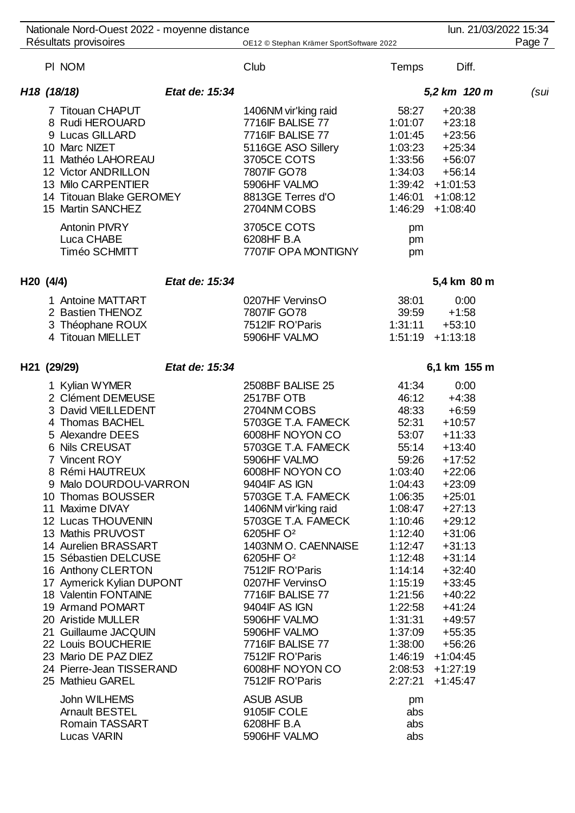| Nationale Nord-Ouest 2022 - moyenne distance                                                                                                                                                                                                                                                                                                                                                                                                                                                                                                                   |                |                                                                                                                                                                                                                                                                                                                                                                                                                                                                                                       |                                                                                                                                                                                                                                                        | lun. 21/03/2022 15:34                                                                                                                                                                                                                                                                                            |        |
|----------------------------------------------------------------------------------------------------------------------------------------------------------------------------------------------------------------------------------------------------------------------------------------------------------------------------------------------------------------------------------------------------------------------------------------------------------------------------------------------------------------------------------------------------------------|----------------|-------------------------------------------------------------------------------------------------------------------------------------------------------------------------------------------------------------------------------------------------------------------------------------------------------------------------------------------------------------------------------------------------------------------------------------------------------------------------------------------------------|--------------------------------------------------------------------------------------------------------------------------------------------------------------------------------------------------------------------------------------------------------|------------------------------------------------------------------------------------------------------------------------------------------------------------------------------------------------------------------------------------------------------------------------------------------------------------------|--------|
| Résultats provisoires                                                                                                                                                                                                                                                                                                                                                                                                                                                                                                                                          |                | OE12 © Stephan Krämer SportSoftware 2022                                                                                                                                                                                                                                                                                                                                                                                                                                                              |                                                                                                                                                                                                                                                        |                                                                                                                                                                                                                                                                                                                  | Page 7 |
| PI NOM                                                                                                                                                                                                                                                                                                                                                                                                                                                                                                                                                         |                | Club                                                                                                                                                                                                                                                                                                                                                                                                                                                                                                  | <b>Temps</b>                                                                                                                                                                                                                                           | Diff.                                                                                                                                                                                                                                                                                                            |        |
| H <sub>18</sub> (18/18)                                                                                                                                                                                                                                                                                                                                                                                                                                                                                                                                        | Etat de: 15:34 |                                                                                                                                                                                                                                                                                                                                                                                                                                                                                                       |                                                                                                                                                                                                                                                        | 5,2 km 120 m                                                                                                                                                                                                                                                                                                     | (sul   |
| 7 Titouan CHAPUT<br>8 Rudi HEROUARD<br>9 Lucas GILLARD<br>10 Marc NIZET<br>11 Mathéo LAHOREAU<br>12 Victor ANDRILLON<br>13 Milo CARPENTIER<br>14 Titouan Blake GEROMEY<br>15 Martin SANCHEZ<br><b>Antonin PIVRY</b><br>Luca CHABE<br>Timéo SCHMITT                                                                                                                                                                                                                                                                                                             |                | 1406NM vir'king raid<br>7716IF BALISE 77<br>7716IF BALISE 77<br>5116GE ASO Sillery<br>3705CE COTS<br>7807IF GO78<br>5906HF VALMO<br>8813GE Terres d'O<br>2704NM COBS<br>3705CE COTS<br>6208HF B.A<br>7707IF OPA MONTIGNY                                                                                                                                                                                                                                                                              | 58:27<br>1:01:07<br>1:01:45<br>1:03:23<br>1:33:56<br>1:34:03<br>1:39:42<br>1:46:01<br>1:46:29<br>pm<br>pm<br>pm                                                                                                                                        | $+20:38$<br>$+23:18$<br>$+23:56$<br>$+25:34$<br>$+56:07$<br>$+56:14$<br>$+1:01:53$<br>$+1:08:12$<br>$+1:08:40$                                                                                                                                                                                                   |        |
| H20 (4/4)                                                                                                                                                                                                                                                                                                                                                                                                                                                                                                                                                      | Etat de: 15:34 |                                                                                                                                                                                                                                                                                                                                                                                                                                                                                                       |                                                                                                                                                                                                                                                        | 5,4 km 80 m                                                                                                                                                                                                                                                                                                      |        |
| 1 Antoine MATTART<br>2 Bastien THENOZ<br>3 Théophane ROUX<br>4 Titouan MIELLET                                                                                                                                                                                                                                                                                                                                                                                                                                                                                 |                | 0207HF VervinsO<br>7807IF GO78<br>7512IF RO'Paris<br>5906HF VALMO                                                                                                                                                                                                                                                                                                                                                                                                                                     | 38:01<br>39:59<br>1:31:11                                                                                                                                                                                                                              | 0:00<br>$+1:58$<br>$+53:10$<br>$1:51:19$ +1:13:18                                                                                                                                                                                                                                                                |        |
| H21 (29/29)                                                                                                                                                                                                                                                                                                                                                                                                                                                                                                                                                    | Etat de: 15:34 |                                                                                                                                                                                                                                                                                                                                                                                                                                                                                                       |                                                                                                                                                                                                                                                        | 6,1 km 155 m                                                                                                                                                                                                                                                                                                     |        |
| 1 Kylian WYMER<br>2 Clément DEMEUSE<br>3 David VIEILLEDENT<br>4 Thomas BACHEL<br>5 Alexandre DEES<br>6 Nils CREUSAT<br>7 Vincent ROY<br>8 Rémi HAUTREUX<br>9 Malo DOURDOU-VARRON<br>10 Thomas BOUSSER<br>11 Maxime DIVAY<br>12 Lucas THOUVENIN<br>13 Mathis PRUVOST<br>14 Aurelien BRASSART<br>15 Sébastien DELCUSE<br>16 Anthony CLERTON<br>17 Aymerick Kylian DUPONT<br>18 Valentin FONTAINE<br>19 Armand POMART<br>20 Aristide MULLER<br>21 Guillaume JACQUIN<br>22 Louis BOUCHERIE<br>23 Mario DE PAZ DIEZ<br>24 Pierre-Jean TISSERAND<br>25 Mathieu GAREL |                | 2508BF BALISE 25<br>2517BF OTB<br>2704NM COBS<br>5703GE T.A. FAMECK<br>6008HF NOYON CO<br>5703GE T.A. FAMECK<br>5906HF VALMO<br>6008HF NOYON CO<br>9404IF AS IGN<br>5703GE T.A. FAMECK<br>1406NM vir'king raid<br>5703GE T.A. FAMECK<br>6205HF O <sup>2</sup><br>1403NM O. CAENNAISE<br>6205HF O <sup>2</sup><br>7512IF RO'Paris<br>0207HF VervinsO<br>7716IF BALISE 77<br>9404IF AS IGN<br>5906HF VALMO<br>5906HF VALMO<br>7716IF BALISE 77<br>7512IF RO'Paris<br>6008HF NOYON CO<br>7512IF RO'Paris | 41:34<br>46:12<br>48:33<br>52:31<br>53:07<br>55:14<br>59:26<br>1:03:40<br>1:04:43<br>1:06:35<br>1:08:47<br>1:10:46<br>1:12:40<br>1:12:47<br>1:12:48<br>1:14:14<br>1:15:19<br>1:21:56<br>1:22:58<br>1:31:31<br>1:37:09<br>1:38:00<br>1:46:19<br>2:27:21 | 0:00<br>$+4:38$<br>$+6:59$<br>$+10:57$<br>$+11:33$<br>$+13:40$<br>$+17:52$<br>$+22:06$<br>$+23:09$<br>$+25:01$<br>$+27:13$<br>$+29:12$<br>$+31:06$<br>$+31:13$<br>$+31:14$<br>$+32:40$<br>$+33:45$<br>$+40:22$<br>$+41:24$<br>$+49:57$<br>$+55:35$<br>$+56:26$<br>$+1:04:45$<br>$2:08:53 +1:27:19$<br>$+1:45:47$ |        |
| John WILHEMS<br><b>Arnault BESTEL</b><br>Romain TASSART<br><b>Lucas VARIN</b>                                                                                                                                                                                                                                                                                                                                                                                                                                                                                  |                | <b>ASUB ASUB</b><br>9105IF COLE<br>6208HF B.A<br>5906HF VALMO                                                                                                                                                                                                                                                                                                                                                                                                                                         | pm<br>abs<br>abs<br>abs                                                                                                                                                                                                                                |                                                                                                                                                                                                                                                                                                                  |        |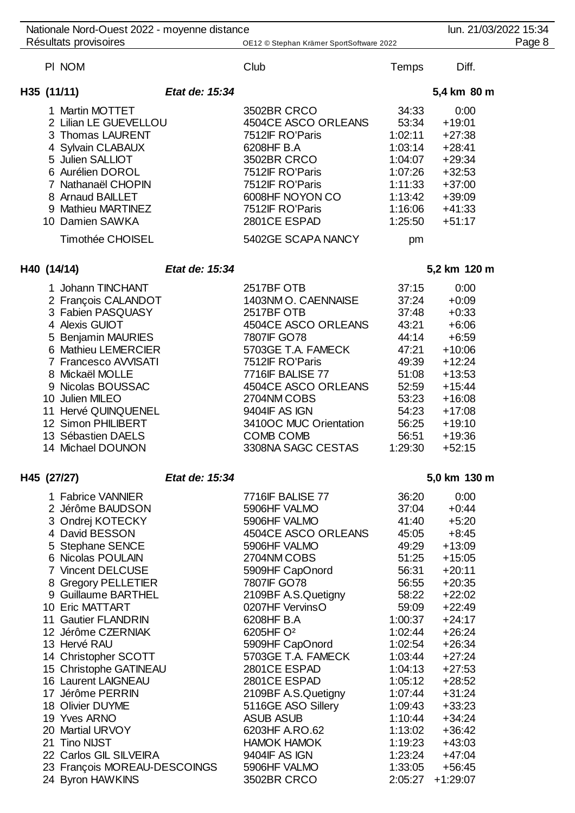|                       | Nationale Nord-Ouest 2022 - moyenne distance                                                                                                                                                                                            |                |                                                                                                                                                                                                      |                                                                                                              | lun. 21/03/2022 15:34                                                                                            |        |
|-----------------------|-----------------------------------------------------------------------------------------------------------------------------------------------------------------------------------------------------------------------------------------|----------------|------------------------------------------------------------------------------------------------------------------------------------------------------------------------------------------------------|--------------------------------------------------------------------------------------------------------------|------------------------------------------------------------------------------------------------------------------|--------|
| Résultats provisoires |                                                                                                                                                                                                                                         |                | OE12 © Stephan Krämer SportSoftware 2022                                                                                                                                                             |                                                                                                              |                                                                                                                  | Page 8 |
|                       | PI NOM                                                                                                                                                                                                                                  |                | Club                                                                                                                                                                                                 | <b>Temps</b>                                                                                                 | Diff.                                                                                                            |        |
| H35 (11/11)           |                                                                                                                                                                                                                                         | Etat de: 15:34 |                                                                                                                                                                                                      |                                                                                                              | 5,4 km 80 m                                                                                                      |        |
|                       | 1 Martin MOTTET<br>2 Lilian LE GUEVELLOU<br>3 Thomas LAURENT<br>4 Sylvain CLABAUX<br>5 Julien SALLIOT<br>6 Aurélien DOROL<br>7 Nathanaël CHOPIN<br>8 Arnaud BAILLET<br>9 Mathieu MARTINEZ<br>10 Damien SAWKA<br><b>Timothée CHOISEL</b> |                | 3502BR CRCO<br>4504CE ASCO ORLEANS<br>7512IF RO'Paris<br>6208HF B.A<br>3502BR CRCO<br>7512IF RO'Paris<br>7512IF RO'Paris<br>6008HF NOYON CO<br>7512IF RO'Paris<br>2801CE ESPAD<br>5402GE SCAPA NANCY | 34:33<br>53:34<br>1:02:11<br>1:03:14<br>1:04:07<br>1:07:26<br>1:11:33<br>1:13:42<br>1:16:06<br>1:25:50<br>pm | 0:00<br>$+19:01$<br>$+27:38$<br>$+28:41$<br>$+29:34$<br>$+32:53$<br>$+37:00$<br>$+39:09$<br>$+41:33$<br>$+51:17$ |        |
| H40 (14/14)           |                                                                                                                                                                                                                                         | Etat de: 15:34 |                                                                                                                                                                                                      |                                                                                                              | 5,2 km 120 m                                                                                                     |        |
|                       | 1 Johann TINCHANT<br>2 François CALANDOT<br>3 Fabien PASQUASY<br>4 Alexis GUIOT<br>5 Benjamin MAURIES<br>6 Mathieu LEMERCIER<br>7 Francesco AVVISATI<br>8 Mickaël MOLLE<br>Nicolas BOUSSAC<br>10 Julien MILEO                           |                | 2517BF OTB<br>1403NM O. CAENNAISE<br>2517BF OTB<br>4504CE ASCO ORLEANS<br>7807IF GO78<br>5703GE T.A. FAMECK<br>7512IF RO'Paris<br><b>7716IF BALISE 77</b><br>4504CE ASCO ORLEANS<br>2704NM COBS      | 37:15<br>37:24<br>37:48<br>43:21<br>44:14<br>47:21<br>49:39<br>51:08<br>52:59<br>53:23                       | 0:00<br>$+0:09$<br>$+0:33$<br>$+6:06$<br>$+6:59$<br>$+10:06$<br>$+12:24$<br>$+13:53$<br>$+15:44$<br>$+16:08$     |        |

| 11 Hervé QUINQUENEL | 9404 F AS IGN          | 54.23   | +17:08   |
|---------------------|------------------------|---------|----------|
| 12 Simon PHILIBERT  | 3410OC MUC Orientation | .56.25  | +19:10   |
| 13 Sébastien DAELS  | COMB COMB              | 56.51   | - +19:36 |
| 14 Michael DOUNON   | 3308NA SAGC CESTAS     | 1.29.30 | +52:15   |

## **H45 (27/27)** *Etat de: 15:34* **5,0 km 130 m**

1 Fabrice VANNIER 7716IF BALISE 77 36:20 0:00 Jérôme BAUDSON 5906HF VALMO 37:04 +0:44 Ondrej KOTECKY 5906HF VALMO 41:40 +5:20 David BESSON 4504CE ASCO ORLEANS 45:05 +8:45 Stephane SENCE 5906HF VALMO 49:29 +13:09 Nicolas POULAIN 2704NM COBS 51:25 +15:05 Vincent DELCUSE 5909HF CapOnord 56:31 +20:11 8 Gregory PELLETIER 7807IF GO78 56:55 +20:35 Guillaume BARTHEL 2109BF A.S.Quetigny 58:22 +22:02 Eric MATTART 0207HF VervinsO 59:09 +22:49 Gautier FLANDRIN 6208HF B.A 1:00:37 +24:17 Jérôme CZERNIAK 6205HF O² 1:02:44 +26:24 Hervé RAU 5909HF CapOnord 1:02:54 +26:34 Christopher SCOTT 5703GE T.A. FAMECK 1:03:44 +27:24 Christophe GATINEAU 2801CE ESPAD 1:04:13 +27:53 Laurent LAIGNEAU 2801CE ESPAD 1:05:12 +28:52 Jérôme PERRIN 2109BF A.S.Quetigny 1:07:44 +31:24 Olivier DUYME 5116GE ASO Sillery 1:09:43 +33:23 Yves ARNO ASUB ASUB 1:10:44 +34:24 Martial URVOY 6203HF A.RO.62 1:13:02 +36:42 Tino NIJST HAMOK HAMOK 1:19:23 +43:03 Carlos GIL SILVEIRA 9404IF AS IGN 1:23:24 +47:04 23 François MOREAU-DESCOINGS 5906HF VALMO 1:33:05 +56:45 Byron HAWKINS 3502BR CRCO 2:05:27 +1:29:07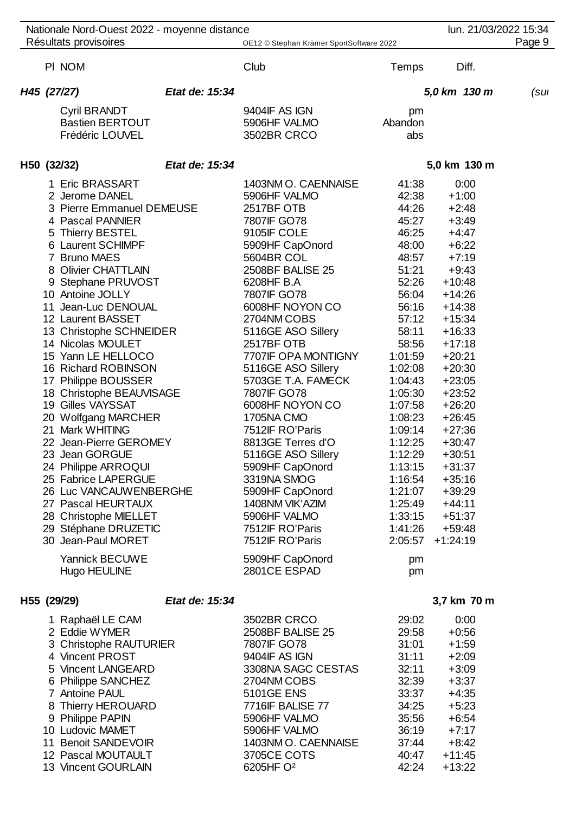|  | Nationale Nord-Ouest 2022 - moyenne distance |                |                                          |         | lun. 21/03/2022 15:34 |        |
|--|----------------------------------------------|----------------|------------------------------------------|---------|-----------------------|--------|
|  | Résultats provisoires                        |                | OE12 © Stephan Krämer SportSoftware 2022 |         |                       | Page 9 |
|  | PI NOM                                       |                | Club                                     | Temps   | Diff.                 |        |
|  | H45 (27/27)                                  | Etat de: 15:34 |                                          |         | 5,0 km 130 m          | (sul   |
|  | <b>Cyril BRANDT</b>                          |                | 9404IF AS IGN                            | pm      |                       |        |
|  | <b>Bastien BERTOUT</b>                       |                | 5906HF VALMO                             | Abandon |                       |        |
|  | Frédéric LOUVEL                              |                | 3502BR CRCO                              | abs     |                       |        |
|  | H50 (32/32)                                  | Etat de: 15:34 |                                          |         | 5,0 km 130 m          |        |
|  | 1 Eric BRASSART                              |                | 1403NM O. CAENNAISE                      | 41:38   | 0:00                  |        |
|  | 2 Jerome DANEL                               |                | 5906HF VALMO                             | 42:38   | $+1:00$               |        |
|  | 3 Pierre Emmanuel DEMEUSE                    |                | 2517BF OTB                               | 44:26   | $+2:48$               |        |
|  | 4 Pascal PANNIER                             |                | 7807IF GO78                              | 45:27   | $+3:49$               |        |
|  | 5 Thierry BESTEL                             |                | 9105IF COLE                              | 46:25   | $+4:47$               |        |
|  | 6 Laurent SCHIMPF                            |                | 5909HF CapOnord                          | 48:00   | $+6:22$               |        |
|  | 7 Bruno MAES                                 |                | 5604BR COL                               | 48:57   | $+7:19$               |        |
|  | 8 Olivier CHATTLAIN                          |                | 2508BF BALISE 25                         | 51:21   | $+9:43$               |        |
|  | 9 Stephane PRUVOST                           |                | 6208HF B.A                               | 52:26   | $+10:48$              |        |
|  | 10 Antoine JOLLY                             |                | 7807IF GO78                              | 56:04   | $+14:26$              |        |
|  | 11 Jean-Luc DENOUAL                          |                | 6008HF NOYON CO                          | 56:16   | $+14:38$              |        |
|  | 12 Laurent BASSET                            |                | 2704NM COBS                              | 57:12   | $+15:34$              |        |
|  | 13 Christophe SCHNEIDER                      |                | 5116GE ASO Sillery                       | 58:11   | $+16:33$              |        |
|  | 14 Nicolas MOULET                            |                | 2517BF OTB                               | 58:56   | $+17:18$              |        |
|  | 15 Yann LE HELLOCO                           |                | 7707IF OPA MONTIGNY                      | 1:01:59 | $+20:21$              |        |
|  | 16 Richard ROBINSON                          |                | 5116GE ASO Sillery                       | 1:02:08 | $+20:30$              |        |
|  | 17 Philippe BOUSSER                          |                | 5703GE T.A. FAMECK                       | 1:04:43 | $+23:05$              |        |
|  | 18 Christophe BEAUVISAGE                     |                | 7807IF GO78                              | 1:05:30 | $+23:52$              |        |
|  | 19 Gilles VAYSSAT                            |                | 6008HF NOYON CO                          | 1:07:58 | $+26:20$              |        |
|  | 20 Wolfgang MARCHER                          |                | 1705NA CMO                               | 1:08:23 | $+26:45$              |        |
|  | 21 Mark WHITING                              |                | 7512IF RO'Paris                          | 1:09:14 | $+27:36$              |        |
|  | 22 Jean-Pierre GEROMEY                       |                | 8813GE Terres d'O                        | 1:12:25 | $+30:47$              |        |
|  | 23 Jean GORGUE                               |                | 5116GE ASO Sillery                       | 1:12:29 | $+30:51$              |        |
|  | 24 Philippe ARROQUI                          |                | 5909HF CapOnord                          | 1:13:15 | $+31:37$              |        |
|  | 25 Fabrice LAPERGUE                          |                | 3319NA SMOG                              | 1:16:54 | $+35:16$              |        |
|  | 26 Luc VANCAUWENBERGHE                       |                | 5909HF CapOnord                          | 1:21:07 | $+39:29$              |        |
|  | 27 Pascal HEURTAUX                           |                | 1408NM VIK'AZIM                          | 1:25:49 | $+44:11$              |        |
|  | 28 Christophe MIELLET                        |                | 5906HF VALMO                             | 1:33:15 | $+51:37$              |        |
|  | 29 Stéphane DRUZETIC                         |                | 7512IF RO'Paris                          | 1:41:26 | $+59:48$              |        |
|  | 30 Jean-Paul MORET                           |                | 7512IF RO'Paris                          | 2:05:57 | $+1:24:19$            |        |
|  | <b>Yannick BECUWE</b>                        |                | 5909HF CapOnord                          | pm      |                       |        |
|  | Hugo HEULINE                                 |                | 2801CE ESPAD                             | pm      |                       |        |
|  | H55 (29/29)                                  | Etat de: 15:34 |                                          |         | 3,7 km 70 m           |        |
|  | 1 Raphaël LE CAM                             |                | 3502BR CRCO                              | 29:02   | 0:00                  |        |
|  | 2 Eddie WYMER                                |                | 2508BF BALISE 25                         | 29:58   | $+0:56$               |        |
|  | 3 Christophe RAUTURIER                       |                | 7807IF GO78                              | 31:01   | $+1:59$               |        |
|  | 4 Vincent PROST                              |                | 9404IF AS IGN                            | 31:11   | $+2:09$               |        |
|  | 5 Vincent LANGEARD                           |                | 3308NA SAGC CESTAS                       | 32:11   | $+3:09$               |        |
|  | 6 Philippe SANCHEZ                           |                | 2704NM COBS                              | 32:39   | $+3:37$               |        |
|  | 7 Antoine PAUL                               |                | <b>5101GE ENS</b>                        | 33:37   | $+4:35$               |        |
|  | 8 Thierry HEROUARD                           |                | 7716IF BALISE 77                         | 34:25   | $+5:23$               |        |
|  | 9 Philippe PAPIN                             |                | 5906HF VALMO                             | 35:56   | $+6:54$               |        |
|  | 10 Ludovic MAMET                             |                | 5906HF VALMO                             | 36:19   | $+7:17$               |        |

 Benoit SANDEVOIR 1403NM O. CAENNAISE 37:44 +8:42 12 Pascal MOUTAULT 3705CE COTS 40:47 +11:45<br>13 Vincent GOURLAIN 6205HF O<sup>2</sup> 42:24 +13:22

13 Vincent GOURLAIN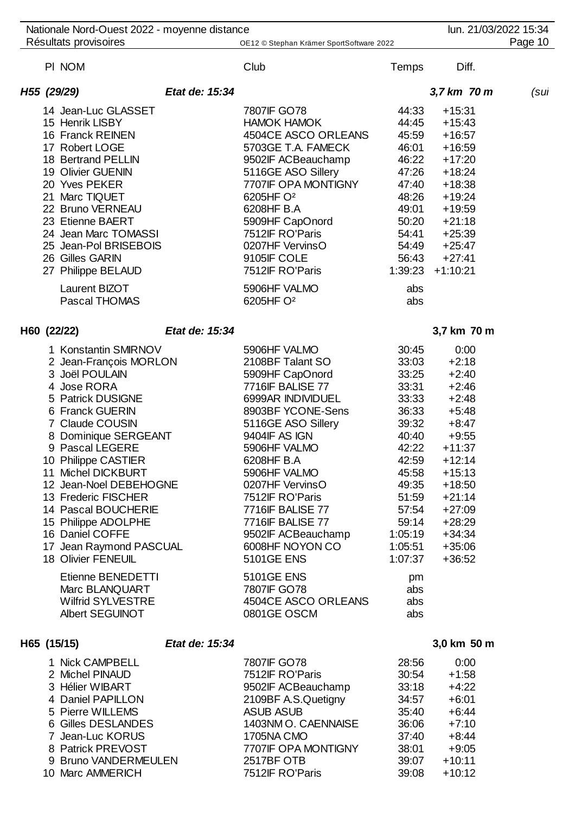| Nationale Nord-Ouest 2022 - moyenne distance                                                                                                                                                                                                                                                                                                                                                                                                                                    |                |                                                                                                                                                                                                                                                                                                                                                                                                               |                                                                                                                                                                                          | lun. 21/03/2022 15:34                                                                                                                                                                                     |         |
|---------------------------------------------------------------------------------------------------------------------------------------------------------------------------------------------------------------------------------------------------------------------------------------------------------------------------------------------------------------------------------------------------------------------------------------------------------------------------------|----------------|---------------------------------------------------------------------------------------------------------------------------------------------------------------------------------------------------------------------------------------------------------------------------------------------------------------------------------------------------------------------------------------------------------------|------------------------------------------------------------------------------------------------------------------------------------------------------------------------------------------|-----------------------------------------------------------------------------------------------------------------------------------------------------------------------------------------------------------|---------|
| Résultats provisoires                                                                                                                                                                                                                                                                                                                                                                                                                                                           |                | OE12 © Stephan Krämer SportSoftware 2022                                                                                                                                                                                                                                                                                                                                                                      |                                                                                                                                                                                          |                                                                                                                                                                                                           | Page 10 |
| PI NOM                                                                                                                                                                                                                                                                                                                                                                                                                                                                          |                | Club                                                                                                                                                                                                                                                                                                                                                                                                          | <b>Temps</b>                                                                                                                                                                             | Diff.                                                                                                                                                                                                     |         |
| H55 (29/29)                                                                                                                                                                                                                                                                                                                                                                                                                                                                     | Etat de: 15:34 |                                                                                                                                                                                                                                                                                                                                                                                                               |                                                                                                                                                                                          | 3,7 km 70 m                                                                                                                                                                                               | (sul    |
| 14 Jean-Luc GLASSET<br>15 Henrik LISBY<br>16 Franck REINEN<br>17 Robert LOGE<br>18 Bertrand PELLIN<br>19 Olivier GUENIN<br>20 Yves PEKER<br>21 Marc TIQUET<br>22 Bruno VERNEAU<br>23 Etienne BAERT<br>24 Jean Marc TOMASSI<br>25 Jean-Pol BRISEBOIS<br>26 Gilles GARIN<br>27 Philippe BELAUD<br>Laurent BIZOT<br>Pascal THOMAS                                                                                                                                                  |                | 7807IF GO78<br><b>HAMOK HAMOK</b><br>4504CE ASCO ORLEANS<br>5703GE T.A. FAMECK<br>9502IF ACBeauchamp<br>5116GE ASO Sillery<br>7707IF OPA MONTIGNY<br>6205HF O <sup>2</sup><br>6208HF B.A<br>5909HF CapOnord<br>7512IF RO'Paris<br>0207HF VervinsO<br>9105IF COLE<br>7512IF RO'Paris<br>5906HF VALMO<br>6205HF O <sup>2</sup>                                                                                  | 44:33<br>44:45<br>45:59<br>46:01<br>46:22<br>47:26<br>47:40<br>48:26<br>49:01<br>50:20<br>54:41<br>54:49<br>56:43<br>1:39:23<br>abs<br>abs                                               | $+15:31$<br>$+15:43$<br>$+16:57$<br>$+16:59$<br>$+17:20$<br>$+18:24$<br>$+18:38$<br>$+19:24$<br>$+19:59$<br>$+21:18$<br>$+25:39$<br>$+25:47$<br>$+27:41$<br>$+1:10:21$                                    |         |
| H60 (22/22)                                                                                                                                                                                                                                                                                                                                                                                                                                                                     | Etat de: 15:34 |                                                                                                                                                                                                                                                                                                                                                                                                               |                                                                                                                                                                                          | 3,7 km 70 m                                                                                                                                                                                               |         |
| 1 Konstantin SMIRNOV<br>2 Jean-François MORLON<br>3 Joël POULAIN<br>4 Jose RORA<br>5 Patrick DUSIGNE<br>6 Franck GUERIN<br>7 Claude COUSIN<br>8 Dominique SERGEANT<br>9 Pascal LEGERE<br>10 Philippe CASTIER<br>11 Michel DICKBURT<br>12 Jean-Noel DEBEHOGNE<br>13 Frederic FISCHER<br>14 Pascal BOUCHERIE<br>15 Philippe ADOLPHE<br>16 Daniel COFFE<br>17 Jean Raymond PASCUAL<br><b>18 Olivier FENEUIL</b><br>Etienne BENEDETTI<br>Marc BLANQUART<br><b>Wilfrid SYLVESTRE</b> |                | 5906HF VALMO<br>2108BF Talant SO<br>5909HF CapOnord<br>7716IF BALISE 77<br>6999AR INDIVIDUEL<br>8903BF YCONE-Sens<br>5116GE ASO Sillery<br>9404IF AS IGN<br>5906HF VALMO<br>6208HF B.A<br>5906HF VALMO<br>0207HF VervinsO<br>7512IF RO'Paris<br>7716IF BALISE 77<br>7716IF BALISE 77<br>9502IF ACBeauchamp<br>6008HF NOYON CO<br><b>5101GE ENS</b><br><b>5101GE ENS</b><br>7807IF GO78<br>4504CE ASCO ORLEANS | 30:45<br>33:03<br>33:25<br>33:31<br>33:33<br>36:33<br>39:32<br>40:40<br>42:22<br>42:59<br>45:58<br>49:35<br>51:59<br>57:54<br>59:14<br>1:05:19<br>1:05:51<br>1:07:37<br>pm<br>abs<br>abs | 0:00<br>$+2:18$<br>$+2:40$<br>$+2:46$<br>$+2:48$<br>$+5:48$<br>$+8:47$<br>$+9:55$<br>$+11:37$<br>$+12:14$<br>$+15:13$<br>$+18:50$<br>$+21:14$<br>$+27:09$<br>$+28:29$<br>$+34:34$<br>$+35:06$<br>$+36:52$ |         |
| Albert SEGUINOT                                                                                                                                                                                                                                                                                                                                                                                                                                                                 |                | 0801GE OSCM                                                                                                                                                                                                                                                                                                                                                                                                   | abs                                                                                                                                                                                      |                                                                                                                                                                                                           |         |
| H65 (15/15)<br>1 Nick CAMPBELL<br>2 Michel PINAUD<br>3 Hélier WIBART<br>4 Daniel PAPILLON                                                                                                                                                                                                                                                                                                                                                                                       | Etat de: 15:34 | 7807IF GO78<br>7512IF RO'Paris<br>9502IF ACBeauchamp<br>2109BF A.S.Quetigny                                                                                                                                                                                                                                                                                                                                   | 28:56<br>30:54<br>33:18<br>34:57                                                                                                                                                         | 3,0 km 50 m<br>0:00<br>$+1:58$<br>$+4:22$<br>$+6:01$                                                                                                                                                      |         |

| 5 Pierre WILL FMS |  |  |
|-------------------|--|--|

| 4 Daniel PAPILLON    | Z109BF A.S.QUETION  | -34:57 | $+6.01$  |
|----------------------|---------------------|--------|----------|
| 5 Pierre WILLEMS     | <b>ASUB ASUB</b>    | 35:40  | $+6:44$  |
| 6 Gilles DESLANDES   | 1403NM O. CAENNAISE | 36:06  | $+7:10$  |
| 7 Jean-Luc KORUS     | 1705NA CMO          | 37.40  | $+8:44$  |
| 8 Patrick PREVOST    | 7707IF OPA MONTIGNY | 38:01  | $+9:05$  |
| 9 Bruno VANDERMEULEN | 2517BF OTB          | 39:07  | $+10:11$ |
| 10 Marc AMMERICH     | 7512IF RO'Paris     | 39:08  | $+10:12$ |
|                      |                     |        |          |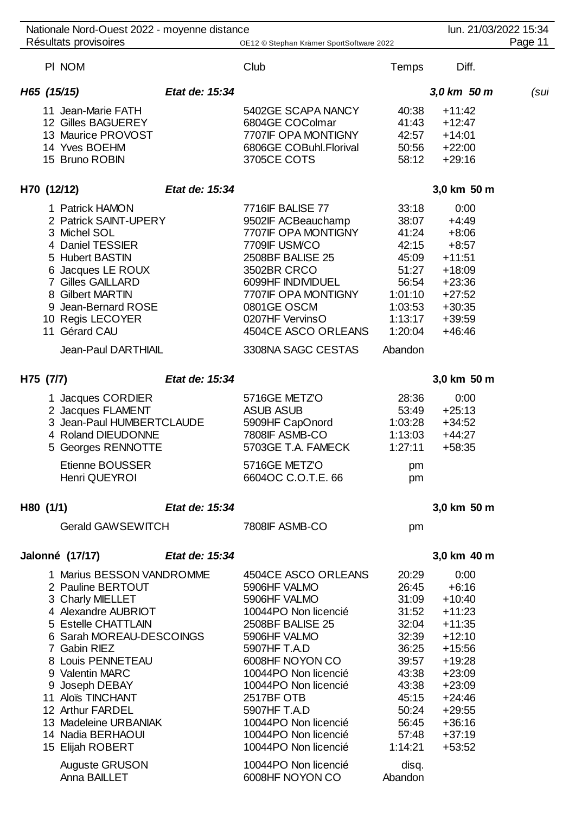| Nationale Nord-Ouest 2022 - moyenne distance                                                                                                                                                                                                                                                                                      |                |                                                                                                                                                                                                                                                                                                          |                                                                                                                                       | lun. 21/03/2022 15:34                                                                                                                                                       |         |
|-----------------------------------------------------------------------------------------------------------------------------------------------------------------------------------------------------------------------------------------------------------------------------------------------------------------------------------|----------------|----------------------------------------------------------------------------------------------------------------------------------------------------------------------------------------------------------------------------------------------------------------------------------------------------------|---------------------------------------------------------------------------------------------------------------------------------------|-----------------------------------------------------------------------------------------------------------------------------------------------------------------------------|---------|
| Résultats provisoires                                                                                                                                                                                                                                                                                                             |                | OE12 © Stephan Krämer SportSoftware 2022                                                                                                                                                                                                                                                                 |                                                                                                                                       |                                                                                                                                                                             | Page 11 |
| PI NOM                                                                                                                                                                                                                                                                                                                            |                | Club                                                                                                                                                                                                                                                                                                     | Temps                                                                                                                                 | Diff.                                                                                                                                                                       |         |
| H65 (15/15)                                                                                                                                                                                                                                                                                                                       | Etat de: 15:34 |                                                                                                                                                                                                                                                                                                          |                                                                                                                                       | 3,0 km 50 m                                                                                                                                                                 | (sul    |
| 11 Jean-Marie FATH<br>12 Gilles BAGUEREY<br>13 Maurice PROVOST<br>14 Yves BOEHM<br>15 Bruno ROBIN                                                                                                                                                                                                                                 |                | 5402GE SCAPA NANCY<br>6804GE COColmar<br>7707IF OPA MONTIGNY<br>6806GE COBuhl.Florival<br>3705CE COTS                                                                                                                                                                                                    | 40:38<br>41:43<br>42:57<br>50:56<br>58:12                                                                                             | $+11:42$<br>$+12:47$<br>$+14:01$<br>$+22:00$<br>$+29:16$                                                                                                                    |         |
| H70 (12/12)                                                                                                                                                                                                                                                                                                                       | Etat de: 15:34 |                                                                                                                                                                                                                                                                                                          |                                                                                                                                       | 3,0 km 50 m                                                                                                                                                                 |         |
| 1 Patrick HAMON<br>2 Patrick SAINT-UPERY<br>3 Michel SOL<br>4 Daniel TESSIER<br>5 Hubert BASTIN<br>6 Jacques LE ROUX<br><b>7 Gilles GAILLARD</b><br>8 Gilbert MARTIN<br>9 Jean-Bernard ROSE<br>10 Regis LECOYER<br>11 Gérard CAU                                                                                                  |                | 7716IF BALISE 77<br>9502IF ACBeauchamp<br>7707IF OPA MONTIGNY<br>7709IF USM/CO<br>2508BF BALISE 25<br>3502BR CRCO<br>6099HF INDIVIDUEL<br>7707IF OPA MONTIGNY<br>0801GE OSCM<br>0207HF VervinsO<br>4504CE ASCO ORLEANS                                                                                   | 33:18<br>38:07<br>41:24<br>42:15<br>45:09<br>51:27<br>56:54<br>1:01:10<br>1:03:53<br>1:13:17<br>1:20:04                               | 0:00<br>$+4:49$<br>$+8:06$<br>$+8:57$<br>$+11:51$<br>$+18:09$<br>$+23:36$<br>$+27:52$<br>$+30:35$<br>$+39:59$<br>$+46:46$                                                   |         |
| Jean-Paul DARTHIAIL                                                                                                                                                                                                                                                                                                               |                | 3308NA SAGC CESTAS                                                                                                                                                                                                                                                                                       | Abandon                                                                                                                               |                                                                                                                                                                             |         |
| H75 (7/7)                                                                                                                                                                                                                                                                                                                         | Etat de: 15:34 |                                                                                                                                                                                                                                                                                                          |                                                                                                                                       | 3,0 km 50 m                                                                                                                                                                 |         |
| 1 Jacques CORDIER<br>2 Jacques FLAMENT<br>3 Jean-Paul HUMBERTCLAUDE<br>4 Roland DIEUDONNE<br>5 Georges RENNOTTE                                                                                                                                                                                                                   |                | 5716GE METZO<br><b>ASUB ASUB</b><br>5909HF CapOnord<br>7808IF ASMB-CO<br>5703GE T.A. FAMECK                                                                                                                                                                                                              | 28:36<br>53:49<br>1:03:28<br>1:13:03<br>1:27:11                                                                                       | 0:00<br>$+25:13$<br>$+34:52$<br>$+44:27$<br>$+58:35$                                                                                                                        |         |
| Etienne BOUSSER<br>Henri QUEYROI                                                                                                                                                                                                                                                                                                  |                | 5716GE METZO<br>6604OC C.O.T.E. 66                                                                                                                                                                                                                                                                       | pm<br>pm                                                                                                                              |                                                                                                                                                                             |         |
| H80 (1/1)                                                                                                                                                                                                                                                                                                                         | Etat de: 15:34 |                                                                                                                                                                                                                                                                                                          |                                                                                                                                       | 3,0 km 50 m                                                                                                                                                                 |         |
| <b>Gerald GAWSEWITCH</b>                                                                                                                                                                                                                                                                                                          |                | 7808IF ASMB-CO                                                                                                                                                                                                                                                                                           | pm                                                                                                                                    |                                                                                                                                                                             |         |
| Jalonné (17/17)                                                                                                                                                                                                                                                                                                                   | Etat de: 15:34 |                                                                                                                                                                                                                                                                                                          |                                                                                                                                       | 3,0 km 40 m                                                                                                                                                                 |         |
| 1 Marius BESSON VANDROMME<br>2 Pauline BERTOUT<br>3 Charly MIELLET<br>4 Alexandre AUBRIOT<br>5 Estelle CHATTLAIN<br>6 Sarah MOREAU-DESCOINGS<br>7 Gabin RIEZ<br>8 Louis PENNETEAU<br>9 Valentin MARC<br>9 Joseph DEBAY<br>11 Aloïs TINCHANT<br>12 Arthur FARDEL<br>13 Madeleine URBANIAK<br>14 Nadia BERHAOUI<br>15 Elijah ROBERT |                | 4504CE ASCO ORLEANS<br>5906HF VALMO<br>5906HF VALMO<br>10044PO Non licencié<br>2508BF BALISE 25<br>5906HF VALMO<br>5907HF T.A.D<br>6008HF NOYON CO<br>10044PO Non licencié<br>10044PO Non licencié<br>2517BF OTB<br>5907HF T.A.D<br>10044PO Non licencié<br>10044PO Non licencié<br>10044PO Non licencié | 20:29<br>26:45<br>31:09<br>31:52<br>32:04<br>32:39<br>36:25<br>39:57<br>43:38<br>43:38<br>45:15<br>50:24<br>56:45<br>57:48<br>1:14:21 | 0:00<br>$+6:16$<br>$+10:40$<br>$+11:23$<br>$+11:35$<br>$+12:10$<br>$+15:56$<br>$+19:28$<br>$+23:09$<br>$+23:09$<br>$+24:46$<br>$+29:55$<br>$+36:16$<br>$+37:19$<br>$+53:52$ |         |
| Auguste GRUSON<br>Anna BAILLET                                                                                                                                                                                                                                                                                                    |                | 10044PO Non licencié<br>6008HF NOYON CO                                                                                                                                                                                                                                                                  | disq.<br>Abandon                                                                                                                      |                                                                                                                                                                             |         |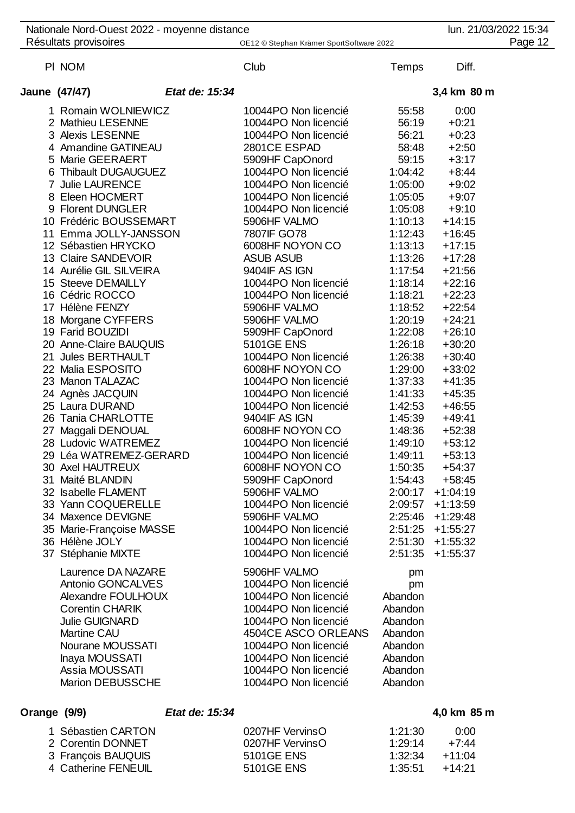| Nationale Nord-Ouest 2022 - moyenne distance |                |                                          |              |             | lun. 21/03/2022 15:34 |
|----------------------------------------------|----------------|------------------------------------------|--------------|-------------|-----------------------|
| Résultats provisoires                        |                | OE12 © Stephan Krämer SportSoftware 2022 |              |             | Page 12               |
| PI NOM                                       |                | Club                                     | <b>Temps</b> | Diff.       |                       |
| Jaune (47/47)                                | Etat de: 15:34 |                                          |              | 3,4 km 80 m |                       |
| 1 Romain WOLNIEWICZ                          |                | 10044PO Non licencié                     | 55:58        | 0:00        |                       |
| 2 Mathieu LESENNE                            |                | 10044PO Non licencié                     | 56:19        | $+0:21$     |                       |
| 3 Alexis LESENNE                             |                | 10044PO Non licencié                     | 56:21        | $+0:23$     |                       |
| 4 Amandine GATINEAU                          |                | 2801CE ESPAD                             | 58:48        | $+2:50$     |                       |
| 5 Marie GEERAERT                             |                | 5909HF CapOnord                          | 59:15        | $+3:17$     |                       |
| 6 Thibault DUGAUGUEZ                         |                | 10044PO Non licencié                     | 1:04:42      | $+8:44$     |                       |
| 7 Julie LAURENCE                             |                | 10044PO Non licencié                     | 1:05:00      | $+9:02$     |                       |
| 8 Eleen HOCMERT                              |                | 10044PO Non licencié                     | 1:05:05      | $+9:07$     |                       |
| 9 Florent DUNGLER                            |                | 10044PO Non licencié                     | 1:05:08      | $+9:10$     |                       |
| 10 Frédéric BOUSSEMART                       |                | 5906HF VALMO                             | 1:10:13      | $+14:15$    |                       |
| 11 Emma JOLLY-JANSSON                        |                | 7807IF GO78                              | 1:12:43      | $+16:45$    |                       |
| 12 Sébastien HRYCKO                          |                | 6008HF NOYON CO                          | 1:13:13      | $+17:15$    |                       |
| 13 Claire SANDEVOIR                          |                | <b>ASUB ASUB</b>                         | 1:13:26      | $+17:28$    |                       |
| 14 Aurélie GIL SILVEIRA                      |                | 9404IF AS IGN                            | 1:17:54      | $+21:56$    |                       |
| 15 Steeve DEMAILLY                           |                | 10044PO Non licencié                     | 1:18:14      | $+22:16$    |                       |
| 16 Cédric ROCCO                              |                | 10044PO Non licencié                     | 1:18:21      | $+22:23$    |                       |
| 17 Hélène FENZY                              |                | 5906HF VALMO                             | 1:18:52      | $+22:54$    |                       |
| 18 Morgane CYFFERS                           |                | 5906HF VALMO                             | 1:20:19      | $+24:21$    |                       |
| 19 Farid BOUZIDI                             |                | 5909HF CapOnord                          | 1:22:08      | $+26:10$    |                       |
| 20 Anne-Claire BAUQUIS                       |                | <b>5101GE ENS</b>                        | 1:26:18      | $+30:20$    |                       |
| 21 Jules BERTHAULT                           |                | 10044PO Non licencié                     | 1:26:38      | $+30:40$    |                       |
| 22 Malia ESPOSITO                            |                | 6008HF NOYON CO                          | 1:29:00      | $+33:02$    |                       |
| 23 Manon TALAZAC                             |                | 10044PO Non licencié                     | 1:37:33      | $+41:35$    |                       |
| 24 Agnès JACQUIN                             |                | 10044PO Non licencié                     | 1:41:33      | $+45:35$    |                       |
| 25 Laura DURAND                              |                | 10044PO Non licencié                     | 1:42:53      | $+46:55$    |                       |
| 26 Tania CHARLOTTE                           |                | 9404IF AS IGN                            | 1:45:39      | $+49:41$    |                       |
| 27 Maggali DENOUAL                           |                | 6008HF NOYON CO                          | 1:48:36      | $+52:38$    |                       |
| 28 Ludovic WATREMEZ                          |                | 10044PO Non licencié                     | 1:49:10      | $+53:12$    |                       |
| 29 Léa WATREMEZ-GERARD                       |                | 10044PO Non licencié                     | 1:49:11      | $+53:13$    |                       |
| 30 Axel HAUTREUX                             |                | 6008HF NOYON CO                          | 1:50:35      | $+54:37$    |                       |
| 31 Maité BLANDIN                             |                | 5909HF CapOnord                          | 1:54:43      | $+58:45$    |                       |
| 32 Isabelle FLAMENT                          |                | 5906HF VALMO                             | 2:00:17      | $+1:04:19$  |                       |
| 33 Yann COQUERELLE                           |                | 10044PO Non licencié                     | 2:09:57      | $+1:13:59$  |                       |
| 34 Maxence DEVIGNE                           |                | 5906HF VALMO                             | 2:25:46      | $+1:29:48$  |                       |
| 35 Marie-Françoise MASSE                     |                | 10044PO Non licencié                     | 2:51:25      | $+1:55:27$  |                       |
| 36 Hélène JOLY                               |                | 10044PO Non licencié                     | 2:51:30      | $+1:55:32$  |                       |
| 37 Stéphanie MIXTE                           |                | 10044PO Non licencié                     | 2:51:35      | $+1:55:37$  |                       |
| Laurence DA NAZARE                           |                | 5906HF VALMO                             | pm           |             |                       |
| Antonio GONCALVES                            |                | 10044PO Non licencié                     | pm           |             |                       |
| Alexandre FOULHOUX                           |                | 10044PO Non licencié                     | Abandon      |             |                       |
| <b>Corentin CHARIK</b>                       |                | 10044PO Non licencié                     | Abandon      |             |                       |
| <b>Julie GUIGNARD</b>                        |                | 10044PO Non licencié                     | Abandon      |             |                       |
| <b>Martine CAU</b>                           |                | 4504CE ASCO ORLEANS                      | Abandon      |             |                       |
| Nourane MOUSSATI                             |                | 10044PO Non licencié                     | Abandon      |             |                       |
| Inaya MOUSSATI                               |                | 10044PO Non licencié                     | Abandon      |             |                       |
| Assia MOUSSATI                               |                | 10044PO Non licencié                     | Abandon      |             |                       |
| <b>Marion DEBUSSCHE</b>                      |                | 10044PO Non licencié                     | Abandon      |             |                       |
|                                              |                |                                          |              |             |                       |

## **Orange (9/9)** *Etat de: 15:34* **4,0 km 85 m**

| 1 Sébastien CARTON  | 0207HF VervinsO | 1:21:30            | 0:00  |
|---------------------|-----------------|--------------------|-------|
| 2 Corentin DONNET   | 0207HF VervinsO | 1.29.14            | +7:44 |
| 3 François BAUQUIS  | 5101GE ENS      | $1:32:34$ $+11:04$ |       |
| 4 Catherine FENEUIL | 5101GE ENS      | $1:35:51 + 14:21$  |       |